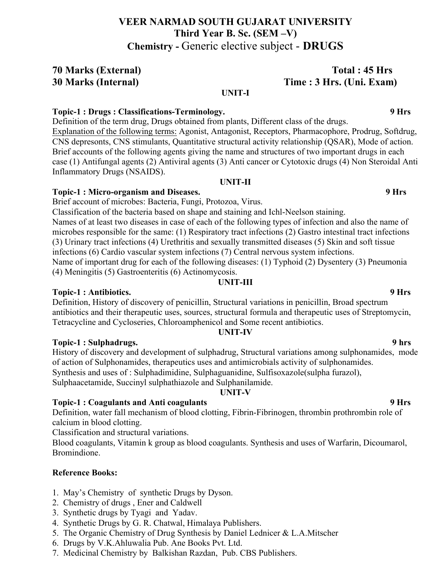# **VEER NARMAD SOUTH GUJARAT UNIVERSITY Third Year B. Sc. (SEM –V) Chemistry -** Generic elective subject - **DRUGS**

# **70 Marks (External) Total : 45 Hrs 30 Marks (Internal) Time : 3 Hrs. (Uni. Exam)**

### **UNIT-I**

### **Topic-1 : Drugs : Classifications-Terminology. 9 Hrs**

Definition of the term drug, Drugs obtained from plants, Different class of the drugs. Explanation of the following terms: Agonist, Antagonist, Receptors, Pharmacophore, Prodrug, Softdrug, CNS depresonts, CNS stimulants, Quantitative structural activity relationship (QSAR), Mode of action.

Brief accounts of the following agents giving the name and structures of two important drugs in each case (1) Antifungal agents (2) Antiviral agents (3) Anti cancer or Cytotoxic drugs (4) Non Steroidal Anti Inflammatory Drugs (NSAIDS).

### **UNIT-II**

### **Topic-1 : Micro-organism and Diseases. 9 Hrs**

Brief account of microbes: Bacteria, Fungi, Protozoa, Virus.

Classification of the bacteria based on shape and staining and Ichl-Neelson staining. Names of at least two diseases in case of each of the following types of infection and also the name of microbes responsible for the same: (1) Respiratory tract infections (2) Gastro intestinal tract infections (3) Urinary tract infections (4) Urethritis and sexually transmitted diseases (5) Skin and soft tissue infections (6) Cardio vascular system infections (7) Central nervous system infections. Name of important drug for each of the following diseases: (1) Typhoid (2) Dysentery (3) Pneumonia (4) Meningitis (5) Gastroenteritis (6) Actinomycosis.

### **UNIT-III**

# **Topic-1 : Antibiotics. 9 Hrs**

Definition, History of discovery of penicillin, Structural variations in penicillin, Broad spectrum antibiotics and their therapeutic uses, sources, structural formula and therapeutic uses of Streptomycin, Tetracycline and Cycloseries, Chloroamphenicol and Some recent antibiotics.

### **UNIT-IV**

# **Topic-1 : Sulphadrugs. 9 hrs**

History of discovery and development of sulphadrug, Structural variations among sulphonamides, mode of action of Sulphonamides, therapeutics uses and antimicrobials activity of sulphonamides. Synthesis and uses of : Sulphadimidine, Sulphaguanidine, Sulfisoxazole(sulpha furazol), Sulphaacetamide, Succinyl sulphathiazole and Sulphanilamide.

# **UNIT-V**

# **Topic-1 : Coagulants and Anti coagulants 9 Hrs**

Definition, water fall mechanism of blood clotting, Fibrin-Fibrinogen, thrombin prothrombin role of calcium in blood clotting.

Classification and structural variations.

Blood coagulants, Vitamin k group as blood coagulants. Synthesis and uses of Warfarin, Dicoumarol, Bromindione.

# **Reference Books:**

- 1. May's Chemistry of synthetic Drugs by Dyson.
- 2. Chemistry of drugs , Ener and Caldwell
- 3. Synthetic drugs by Tyagi and Yadav.
- 4. Synthetic Drugs by G. R. Chatwal, Himalaya Publishers.
- 5. The Organic Chemistry of Drug Synthesis by Daniel Lednicer & L.A.Mitscher
- 6. Drugs by V.K.Ahluwalia Pub. Ane Books Pvt. Ltd.
- 7. Medicinal Chemistry by Balkishan Razdan, Pub. CBS Publishers.